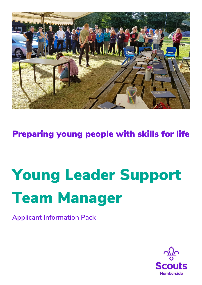

Preparing young people with skills for life

# Young Leader Support Team Manager

**Applicant Information Pack**

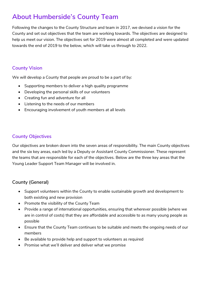## **About Humberside's County Team**

Following the changes to the County Structure and team in 2017, we devised a vision for the County and set out objectives that the team are working towards. The objectives are designed to help us meet our vision. The objectives set for 2019 were almost all completed and were updated towards the end of 2019 to the below, which will take us through to 2022.

#### **County Vision**

We will develop a County that people are proud to be a part of by:

- Supporting members to deliver a high quality programme
- Developing the personal skills of our volunteers
- Creating fun and adventure for all
- Listening to the needs of our members
- Encouraging involvement of youth members at all levels

#### **County Objectives**

Our objectives are broken down into the seven areas of responsibility. The main County objectives and the six key areas, each led by a Deputy or Assistant County Commissioner. These represent the teams that are responsible for each of the objectives. Below are the three key areas that the Young Leader Support Team Manager will be involved in.

#### **County (General)**

- Support volunteers within the County to enable sustainable growth and development to both existing and new provision
- Promote the visibility of the County Team
- Provide a range of international opportunities, ensuring that wherever possible (where we are in control of costs) that they are affordable and accessible to as many young people as possible
- Ensure that the County Team continues to be suitable and meets the ongoing needs of our members
- Be available to provide help and support to volunteers as required
- Promise what we'll deliver and deliver what we promise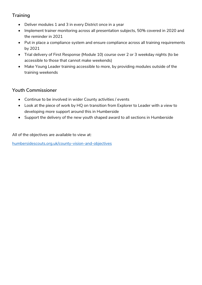#### **Training**

- Deliver modules 1 and 3 in every District once in a year
- Implement trainer monitoring across all presentation subjects, 50% covered in 2020 and the reminder in 2021
- Put in place a compliance system and ensure compliance across all training requirements by 2021
- Trial delivery of First Response (Module 10) course over 2 or 3 weekday nights (to be accessible to those that cannot make weekends)
- Make Young Leader training accessible to more, by providing modules outside of the training weekends

#### **Youth Commissioner**

- Continue to be involved in wider County activities / events
- Look at the piece of work by HQ on transition from Explorer to Leader with a view to developing more support around this in Humberside
- Support the delivery of the new youth shaped award to all sections in Humberside

All of the objectives are available to view at:

[humbersidescouts.org.uk/county-vision-and-objectives](https://www.humbersidescouts.org.uk/county-vision-and-objectives)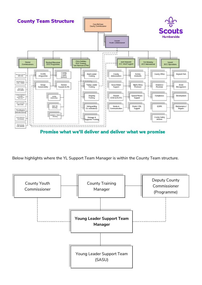

Promise what we'll deliver and deliver what we promise

Below highlights where the YL Support Team Manager is within the County Team structure.

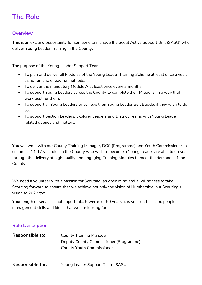## **The Role**

#### **Overview**

This is an exciting opportunity for someone to manage the Scout Active Support Unit (SASU) who deliver Young Leader Training in the County.

The purpose of the Young Leader Support Team is:

- To plan and deliver all Modules of the Young Leader Training Scheme at least once a year, using fun and engaging methods.
- To deliver the mandatory Module A at least once every 3 months.
- To support Young Leaders across the County to complete their Missions, in a way that work best for them.
- To support all Young Leaders to achieve their Young Leader Belt Buckle, if they wish to do so.
- To support Section Leaders, Explorer Leaders and District Teams with Young Leader related queries and matters.

You will work with our County Training Manager, DCC (Programme) and Youth Commissioner to ensure all 14-17 year olds in the County who wish to become a Young Leader are able to do so, through the delivery of high quality and engaging Training Modules to meet the demands of the County.

We need a volunteer with a passion for Scouting, an open mind and a willingness to take Scouting forward to ensure that we achieve not only the vision of Humberside, but Scouting's vision to 2023 too.

Your length of service is not important... 5 weeks or 50 years, it is your enthusiasm, people management skills and ideas that we are looking for!

#### **Role Description**

| Responsible to: | <b>County Training Manager</b>         |
|-----------------|----------------------------------------|
|                 | Deputy County Commissioner (Programme) |
|                 | <b>County Youth Commissioner</b>       |
|                 |                                        |

**Responsible for:** Young Leader Support Team (SASU)